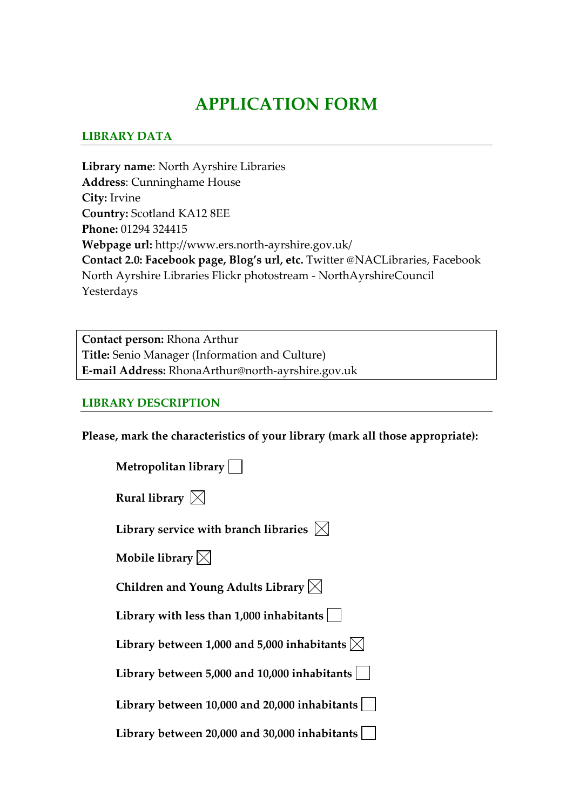# **APPLICATION FORM**

## **LIBRARY DATA**

**Library name**: North Ayrshire Libraries **Address**: Cunninghame House **City:** Irvine **Country:** Scotland KA12 8EE **Phone:** 01294 324415 **Webpage url:** http://www.ers.north‐ayrshire.gov.uk/ **Contact 2.0: Facebook page, Blog's url, etc.** Twitter @NACLibraries, Facebook North Ayrshire Libraries Flickr photostream ‐ NorthAyrshireCouncil Yesterdays

**Contact person:** Rhona Arthur **Title:** Senio Manager (Information and Culture) **E‐mail Address:** RhonaArthur@north‐ayrshire.gov.uk

## **LIBRARY DESCRIPTION**

**Please, mark the characteristics of your library (mark all those appropriate):**

| Metropolitan library                                       |
|------------------------------------------------------------|
| Rural library $\boxtimes$                                  |
| Library service with branch libraries $\vert \times \vert$ |
| Mobile library $\boxtimes$                                 |
| Children and Young Adults Library $\boxtimes$              |
| Library with less than $1,000$ inhabitants                 |
| Library between 1,000 and 5,000 inhabitants $\boxtimes$    |
| Library between 5,000 and 10,000 inhabitants               |
| Library between 10,000 and 20,000 inhabitants              |
| Library between 20,000 and 30,000 inhabitants              |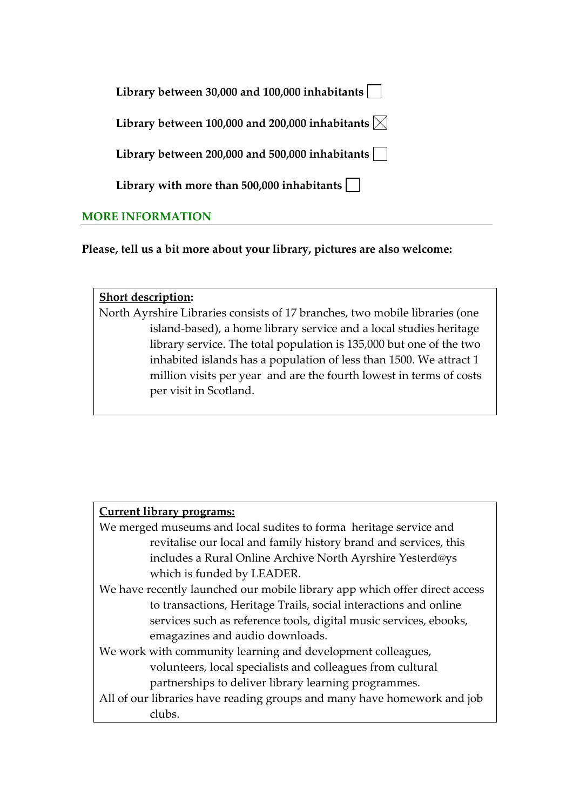| Library between 30,000 and 100,000 inhabitants $\vert$       |  |
|--------------------------------------------------------------|--|
| Library between 100,000 and 200,000 inhabitants $\boxtimes$  |  |
| Library between 200,000 and 500,000 inhabitants              |  |
| Library with more than 500,000 inhabitants $\vert \ \ \vert$ |  |
| <b>MORE INFORMATION</b>                                      |  |

**Please, tell us a bit more about your library, pictures are also welcome:** 

#### **Short description:**

North Ayrshire Libraries consists of 17 branches, two mobile libraries (one island‐based), a home library service and a local studies heritage library service. The total population is 135,000 but one of the two inhabited islands has a population of less than 1500. We attract 1 million visits per year and are the fourth lowest in terms of costs per visit in Scotland.

## **Current library programs:**

| We merged museums and local sudites to forma heritage service and          |
|----------------------------------------------------------------------------|
| revitalise our local and family history brand and services, this           |
| includes a Rural Online Archive North Ayrshire Yesterd@ys                  |
| which is funded by LEADER.                                                 |
| We have recently launched our mobile library app which offer direct access |
| to transactions, Heritage Trails, social interactions and online           |
|                                                                            |

services such as reference tools, digital music services, ebooks, emagazines and audio downloads.

## We work with community learning and development colleagues, volunteers, local specialists and colleagues from cultural partnerships to deliver library learning programmes.

## All of our libraries have reading groups and many have homework and job clubs.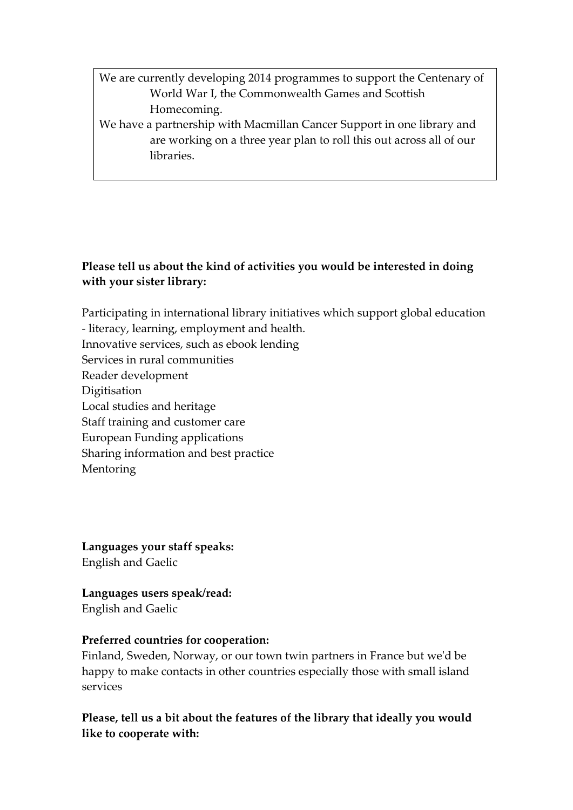We are currently developing 2014 programmes to support the Centenary of World War I, the Commonwealth Games and Scottish Homecoming.

We have a partnership with Macmillan Cancer Support in one library and are working on a three year plan to roll this out across all of our libraries.

## **Please tell us about the kind of activities you would be interested in doing with your sister library:**

Participating in international library initiatives which support global education

- ‐ literacy, learning, employment and health.
- Innovative services, such as ebook lending
- Services in rural communities
- Reader development
- Digitisation
- Local studies and heritage
- Staff training and customer care
- European Funding applications
- Sharing information and best practice
- Mentoring

**Languages your staff speaks:** English and Gaelic

**Languages users speak/read:** English and Gaelic

## **Preferred countries for cooperation:**

Finland, Sweden, Norway, or our town twin partners in France but weʹd be happy to make contacts in other countries especially those with small island services

**Please, tell us a bit about the features of the library that ideally you would like to cooperate with:**